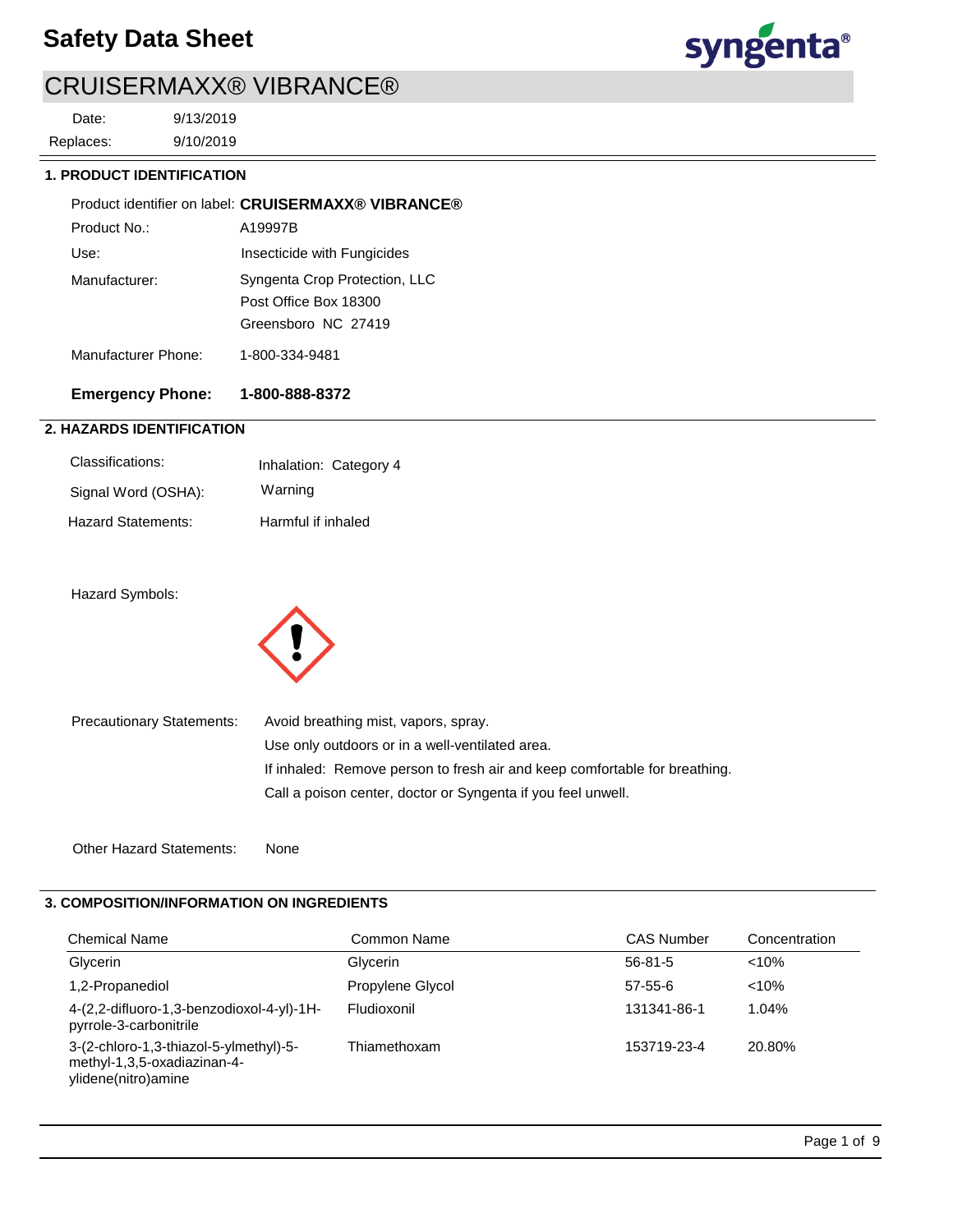## **Safety Data Sheet**



## CRUISERMAXX® VIBRANCE®

9/10/2019 9/13/2019 Replaces: Date:

### **1. PRODUCT IDENTIFICATION**

|                     | Product identifier on label: CRUISERMAXX® VIBRANCE® |
|---------------------|-----------------------------------------------------|
| Product No.:        | A19997B                                             |
| Use:                | Insecticide with Fungicides                         |
| Manufacturer:       | Syngenta Crop Protection, LLC                       |
|                     | Post Office Box 18300                               |
|                     | Greensboro NC 27419                                 |
| Manufacturer Phone: | 1-800-334-9481                                      |

# **Emergency Phone: 1-800-888-8372**

## **2. HAZARDS IDENTIFICATION**

| Classifications:    | Inhalation: Category 4 |
|---------------------|------------------------|
| Signal Word (OSHA): | Warning                |
| Hazard Statements:  | Harmful if inhaled     |

## Hazard Symbols:



| <b>Precautionary Statements:</b> | Avoid breathing mist, vapors, spray.                                       |
|----------------------------------|----------------------------------------------------------------------------|
|                                  | Use only outdoors or in a well-ventilated area.                            |
|                                  | If inhaled: Remove person to fresh air and keep comfortable for breathing. |
|                                  | Call a poison center, doctor or Syngenta if you feel unwell.               |
|                                  |                                                                            |

Other Hazard Statements: None

## **3. COMPOSITION/INFORMATION ON INGREDIENTS**

| <b>Chemical Name</b>                                                                         | Common Name      | <b>CAS Number</b> | Concentration |
|----------------------------------------------------------------------------------------------|------------------|-------------------|---------------|
| Glycerin                                                                                     | Glycerin         | $56-81-5$         | $< 10\%$      |
| 1,2-Propanediol                                                                              | Propylene Glycol | $57 - 55 - 6$     | $< 10\%$      |
| 4-(2,2-difluoro-1,3-benzodioxol-4-yl)-1H-<br>pyrrole-3-carbonitrile                          | Fludioxonil      | 131341-86-1       | 1.04%         |
| 3-(2-chloro-1,3-thiazol-5-ylmethyl)-5-<br>methyl-1,3,5-oxadiazinan-4-<br>ylidene(nitro)amine | Thiamethoxam     | 153719-23-4       | 20.80%        |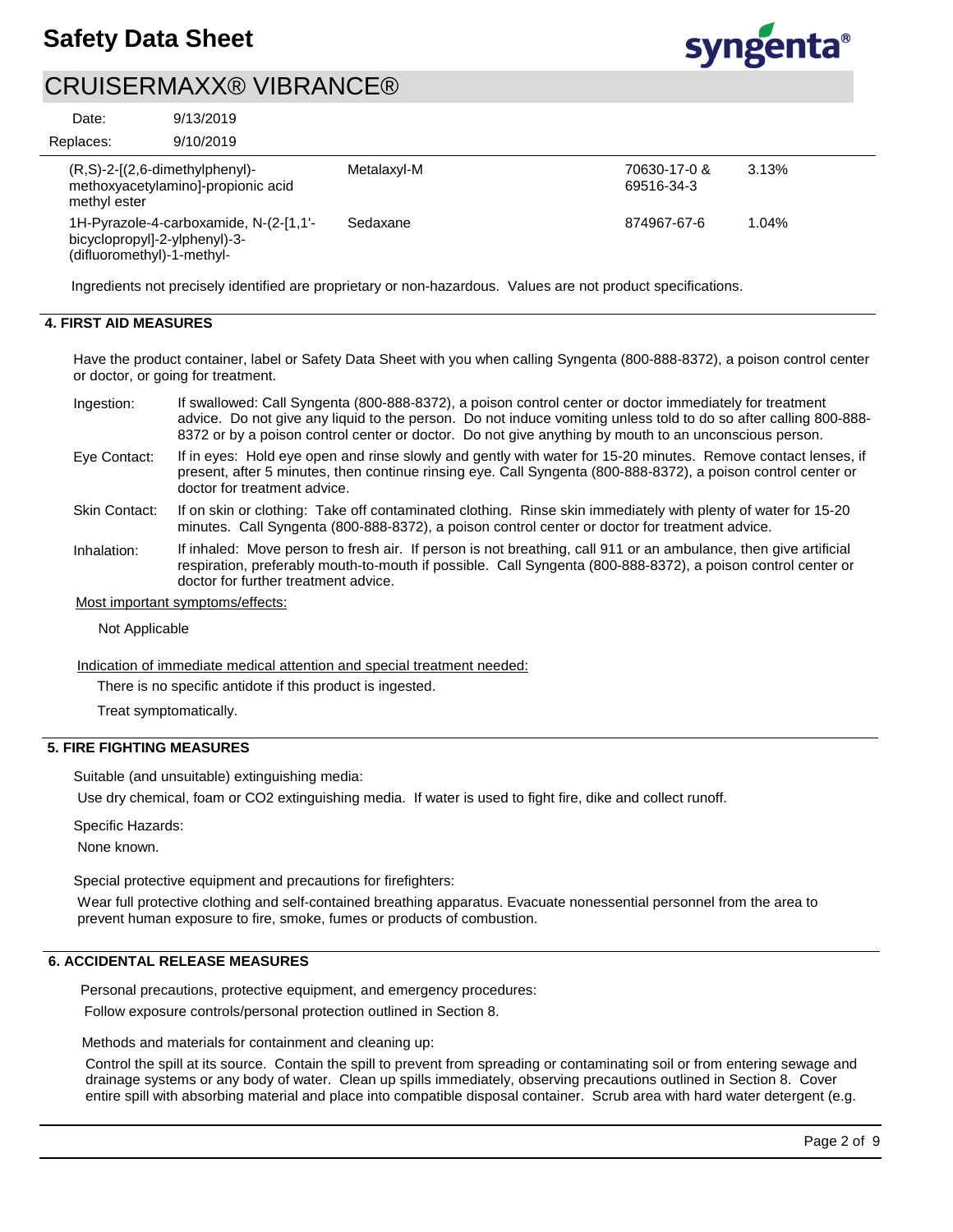

9/13/2019 Date:

9/10/2019 Replaces:

| $(R, S)$ -2- $[(2, 6$ -dimethylphenyl $)$ -<br>methoxyacetylaminol-propionic acid<br>methyl ester     | Metalaxyl-M | 70630-17-0 &<br>69516-34-3 | 3.13% |
|-------------------------------------------------------------------------------------------------------|-------------|----------------------------|-------|
| 1H-Pyrazole-4-carboxamide, N-(2-[1,1'-<br>bicyclopropyl]-2-ylphenyl)-3-<br>(difluoromethyl)-1-methyl- | Sedaxane    | 874967-67-6                | 1.04% |

Ingredients not precisely identified are proprietary or non-hazardous. Values are not product specifications.

### **4. FIRST AID MEASURES**

Have the product container, label or Safety Data Sheet with you when calling Syngenta (800-888-8372), a poison control center or doctor, or going for treatment.

- If swallowed: Call Syngenta (800-888-8372), a poison control center or doctor immediately for treatment advice. Do not give any liquid to the person. Do not induce vomiting unless told to do so after calling 800-888- 8372 or by a poison control center or doctor. Do not give anything by mouth to an unconscious person. Ingestion:
- If in eyes: Hold eye open and rinse slowly and gently with water for 15-20 minutes. Remove contact lenses, if present, after 5 minutes, then continue rinsing eye. Call Syngenta (800-888-8372), a poison control center or doctor for treatment advice. Eye Contact:
- If on skin or clothing: Take off contaminated clothing. Rinse skin immediately with plenty of water for 15-20 minutes. Call Syngenta (800-888-8372), a poison control center or doctor for treatment advice. Skin Contact:
- If inhaled: Move person to fresh air. If person is not breathing, call 911 or an ambulance, then give artificial respiration, preferably mouth-to-mouth if possible. Call Syngenta (800-888-8372), a poison control center or doctor for further treatment advice. Inhalation:

Most important symptoms/effects:

Not Applicable

Indication of immediate medical attention and special treatment needed:

There is no specific antidote if this product is ingested.

Treat symptomatically.

## **5. FIRE FIGHTING MEASURES**

Suitable (and unsuitable) extinguishing media:

Use dry chemical, foam or CO2 extinguishing media. If water is used to fight fire, dike and collect runoff.

Specific Hazards:

None known.

Special protective equipment and precautions for firefighters:

Wear full protective clothing and self-contained breathing apparatus. Evacuate nonessential personnel from the area to prevent human exposure to fire, smoke, fumes or products of combustion.

### **6. ACCIDENTAL RELEASE MEASURES**

Personal precautions, protective equipment, and emergency procedures:

Follow exposure controls/personal protection outlined in Section 8.

Methods and materials for containment and cleaning up:

Control the spill at its source. Contain the spill to prevent from spreading or contaminating soil or from entering sewage and drainage systems or any body of water. Clean up spills immediately, observing precautions outlined in Section 8. Cover entire spill with absorbing material and place into compatible disposal container. Scrub area with hard water detergent (e.g.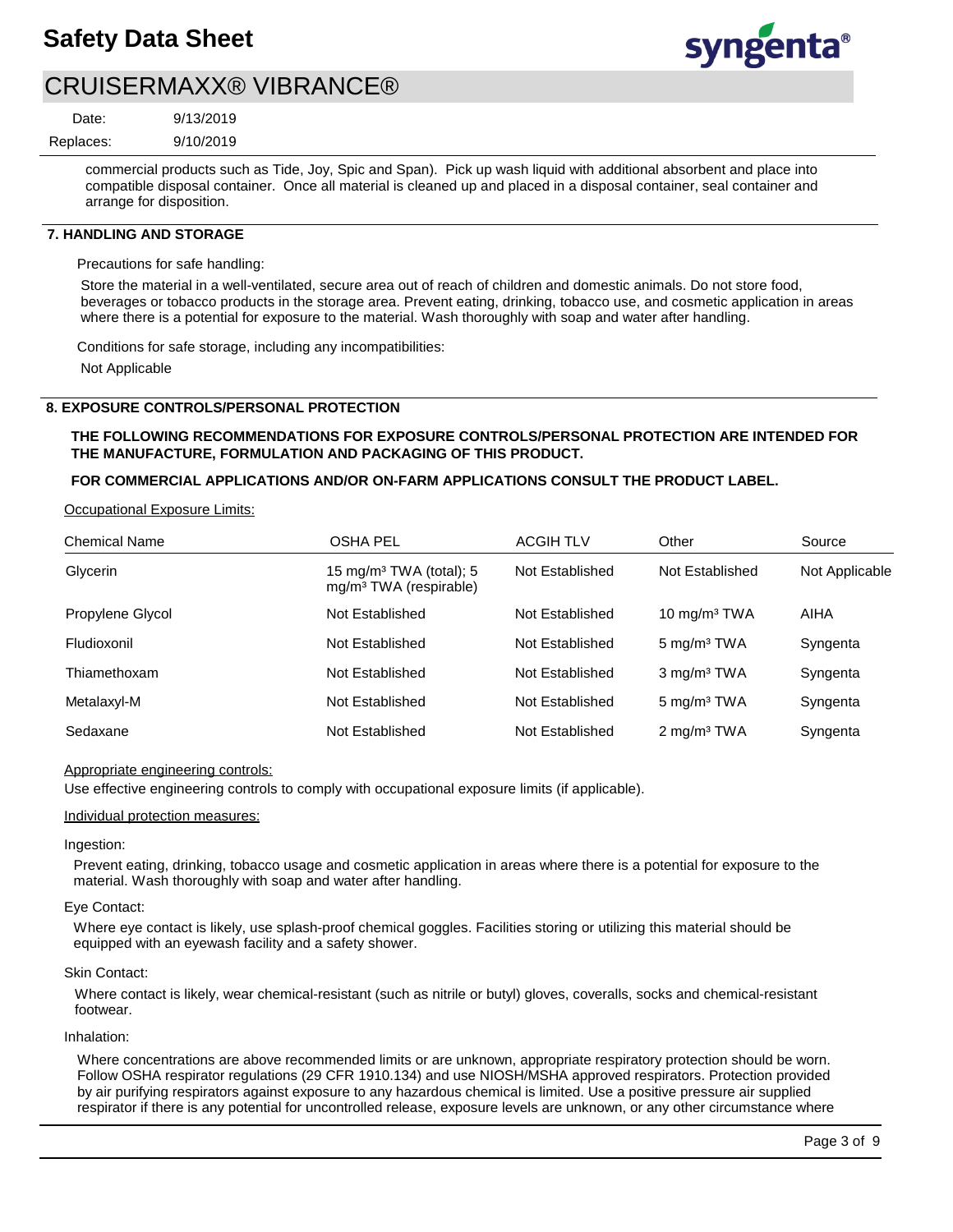

9/13/2019

Date:

9/10/2019 Replaces:

> commercial products such as Tide, Joy, Spic and Span). Pick up wash liquid with additional absorbent and place into compatible disposal container. Once all material is cleaned up and placed in a disposal container, seal container and arrange for disposition.

### **7. HANDLING AND STORAGE**

Precautions for safe handling:

Store the material in a well-ventilated, secure area out of reach of children and domestic animals. Do not store food, beverages or tobacco products in the storage area. Prevent eating, drinking, tobacco use, and cosmetic application in areas where there is a potential for exposure to the material. Wash thoroughly with soap and water after handling.

Conditions for safe storage, including any incompatibilities:

Not Applicable

### **8. EXPOSURE CONTROLS/PERSONAL PROTECTION**

### **THE FOLLOWING RECOMMENDATIONS FOR EXPOSURE CONTROLS/PERSONAL PROTECTION ARE INTENDED FOR THE MANUFACTURE, FORMULATION AND PACKAGING OF THIS PRODUCT.**

### **FOR COMMERCIAL APPLICATIONS AND/OR ON-FARM APPLICATIONS CONSULT THE PRODUCT LABEL.**

Occupational Exposure Limits:

| <b>Chemical Name</b> | <b>OSHA PEL</b>                                                           | <b>ACGIH TLV</b> | Other                   | Source         |
|----------------------|---------------------------------------------------------------------------|------------------|-------------------------|----------------|
| Glycerin             | 15 mg/m <sup>3</sup> TWA (total); 5<br>mg/m <sup>3</sup> TWA (respirable) | Not Established  | Not Established         | Not Applicable |
| Propylene Glycol     | Not Established                                                           | Not Established  | 10 $mg/m3 TWA$          | <b>AIHA</b>    |
| Fludioxonil          | Not Established                                                           | Not Established  | 5 mg/m <sup>3</sup> TWA | Syngenta       |
| Thiamethoxam         | Not Established                                                           | Not Established  | $3 \text{ mg/m}^3$ TWA  | Syngenta       |
| Metalaxyl-M          | Not Established                                                           | Not Established  | 5 mg/m <sup>3</sup> TWA | Syngenta       |
| Sedaxane             | Not Established                                                           | Not Established  | 2 mg/m <sup>3</sup> TWA | Syngenta       |

### Appropriate engineering controls:

Use effective engineering controls to comply with occupational exposure limits (if applicable).

#### Individual protection measures:

Ingestion:

Prevent eating, drinking, tobacco usage and cosmetic application in areas where there is a potential for exposure to the material. Wash thoroughly with soap and water after handling.

#### Eye Contact:

Where eye contact is likely, use splash-proof chemical goggles. Facilities storing or utilizing this material should be equipped with an eyewash facility and a safety shower.

#### Skin Contact:

Where contact is likely, wear chemical-resistant (such as nitrile or butyl) gloves, coveralls, socks and chemical-resistant footwear.

#### Inhalation:

Where concentrations are above recommended limits or are unknown, appropriate respiratory protection should be worn. Follow OSHA respirator regulations (29 CFR 1910.134) and use NIOSH/MSHA approved respirators. Protection provided by air purifying respirators against exposure to any hazardous chemical is limited. Use a positive pressure air supplied respirator if there is any potential for uncontrolled release, exposure levels are unknown, or any other circumstance where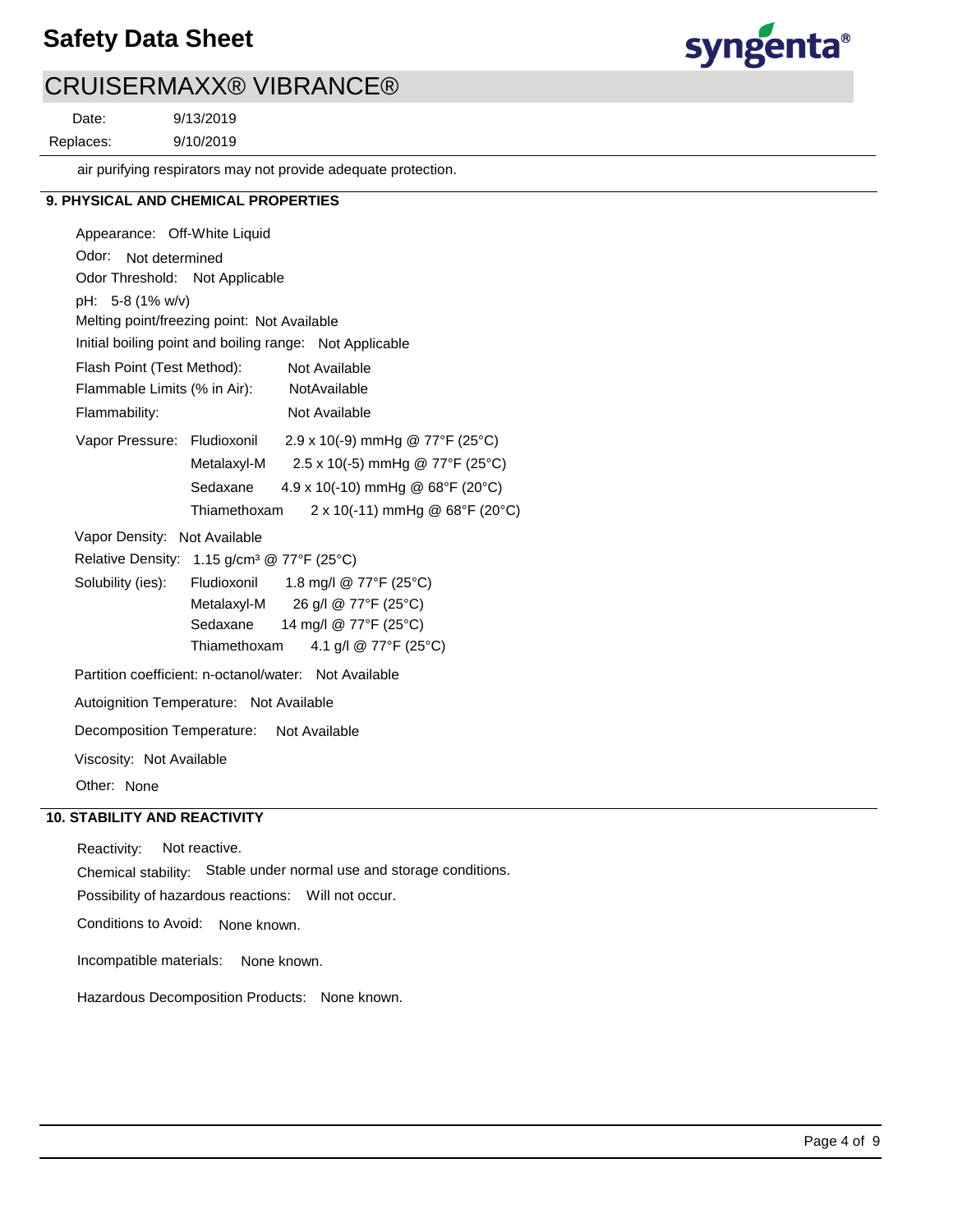## **Safety Data Sheet**



## CRUISERMAXX® VIBRANCE®

9/13/2019 Replaces: Date:

9/10/2019

air purifying respirators may not provide adequate protection.

## **9. PHYSICAL AND CHEMICAL PROPERTIES**

Odor: Not determined Appearance: Off-White Liquid Vapor Pressure: Fludioxonil Solubility (ies): pH: 5-8 (1% w/v) Initial boiling point and boiling range: Not Applicable Melting point/freezing point: Not Available Odor Threshold: Not Applicable NotAvailable Flammability: Not Available Not Available Autoignition Temperature: Not Available Flash Point (Test Method): Flammable Limits (% in Air): Vapor Density: Not Available Relative Density: 1.15 g/cm<sup>3</sup> @ 77°F (25°C) Decomposition Temperature: Not Available Viscosity: Not Available Partition coefficient: n-octanol/water: Not Available  $2.9 \times 10(-9)$  mmHg @ 77°F (25°C) Metalaxyl-M 2.5 x 10(-5) mmHg @ 77°F (25°C) Sedaxane 4.9 x 10(-10) mmHg @ 68°F (20°C) Thiamethoxam  $2 \times 10(-11)$  mmHg @ 68°F (20°C) Fludioxonil 1.8 mg/l @ 77°F (25°C) Metalaxyl-M 26 g/l @ 77°F (25°C) Sedaxane 14 mg/l @ 77°F (25°C) Thiamethoxam  $4.1$  g/l @ 77°F (25°C)

Other: None

## **10. STABILITY AND REACTIVITY**

Incompatible materials: None known. Possibility of hazardous reactions: Will not occur. Chemical stability: Stable under normal use and storage conditions. Hazardous Decomposition Products: None known. Reactivity: Not reactive. Conditions to Avoid: None known.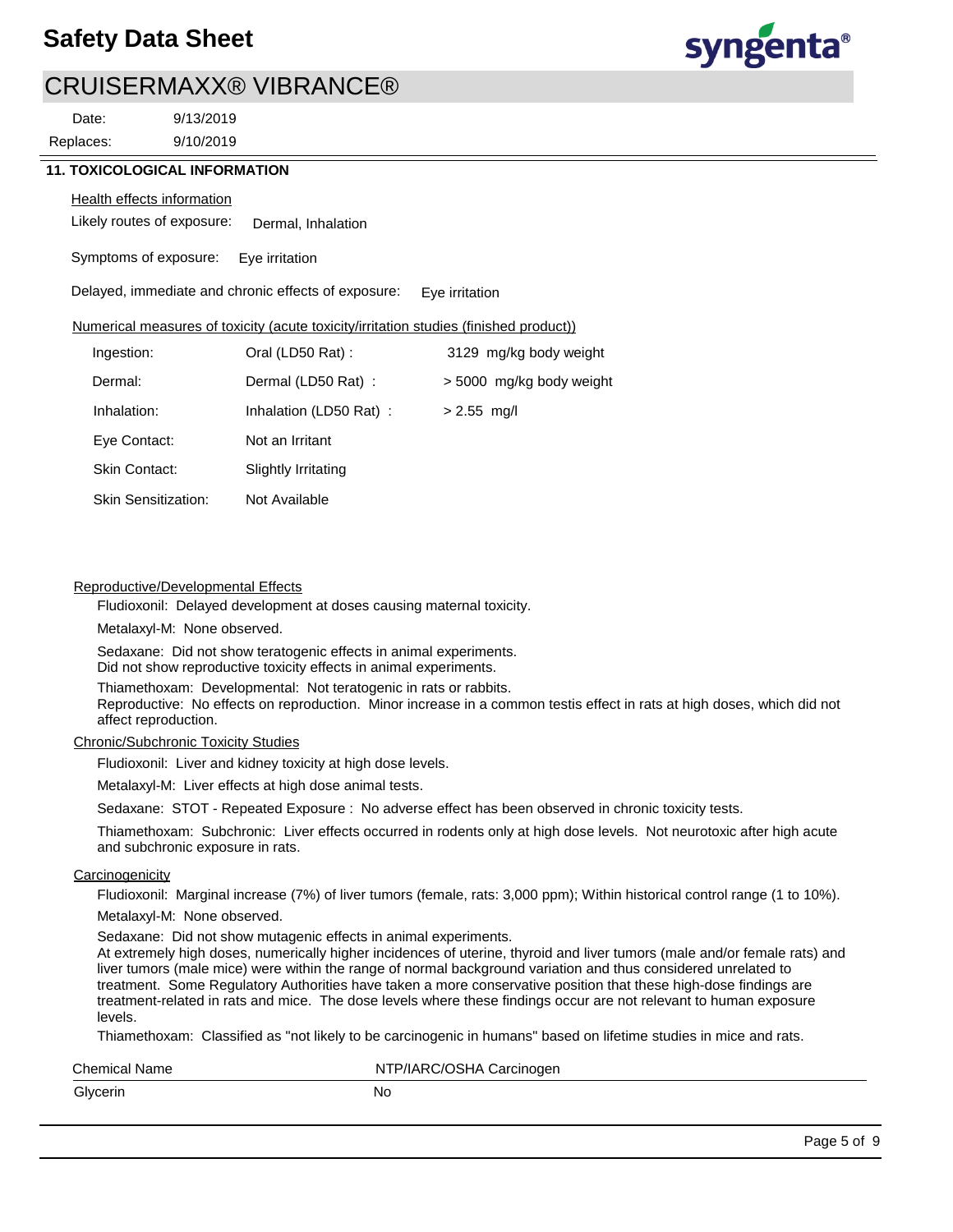

Replaces: Date:

9/10/2019 9/13/2019

## **11. TOXICOLOGICAL INFORMATION**

#### **Health effects information**

Likely routes of exposure: Dermal, Inhalation

Symptoms of exposure: Eye irritation

Delayed, immediate and chronic effects of exposure: Eye irritation

#### Numerical measures of toxicity (acute toxicity/irritation studies (finished product))

| Ingestion:                 | Oral (LD50 Rat):       | 3129 mg/kg body weight   |
|----------------------------|------------------------|--------------------------|
| Dermal:                    | Dermal (LD50 Rat):     | > 5000 mg/kg body weight |
| Inhalation:                | Inhalation (LD50 Rat): | $> 2.55$ mg/l            |
| Eye Contact:               | Not an Irritant        |                          |
| <b>Skin Contact:</b>       | Slightly Irritating    |                          |
| <b>Skin Sensitization:</b> | Not Available          |                          |

### Reproductive/Developmental Effects

Fludioxonil: Delayed development at doses causing maternal toxicity.

Metalaxyl-M: None observed.

Sedaxane: Did not show teratogenic effects in animal experiments. Did not show reproductive toxicity effects in animal experiments.

Thiamethoxam: Developmental: Not teratogenic in rats or rabbits.

Reproductive: No effects on reproduction. Minor increase in a common testis effect in rats at high doses, which did not affect reproduction.

#### Chronic/Subchronic Toxicity Studies

Fludioxonil: Liver and kidney toxicity at high dose levels.

Metalaxyl-M: Liver effects at high dose animal tests.

Sedaxane: STOT - Repeated Exposure : No adverse effect has been observed in chronic toxicity tests.

Thiamethoxam: Subchronic: Liver effects occurred in rodents only at high dose levels. Not neurotoxic after high acute and subchronic exposure in rats.

#### **Carcinogenicity**

Fludioxonil: Marginal increase (7%) of liver tumors (female, rats: 3,000 ppm); Within historical control range (1 to 10%). Metalaxyl-M: None observed.

Sedaxane: Did not show mutagenic effects in animal experiments.

At extremely high doses, numerically higher incidences of uterine, thyroid and liver tumors (male and/or female rats) and liver tumors (male mice) were within the range of normal background variation and thus considered unrelated to treatment. Some Regulatory Authorities have taken a more conservative position that these high-dose findings are treatment-related in rats and mice. The dose levels where these findings occur are not relevant to human exposure levels.

Thiamethoxam: Classified as "not likely to be carcinogenic in humans" based on lifetime studies in mice and rats.

| <b>Chemical Name</b> | NTP/IARC/OSHA Carcinogen |
|----------------------|--------------------------|
| Glycerin             | No                       |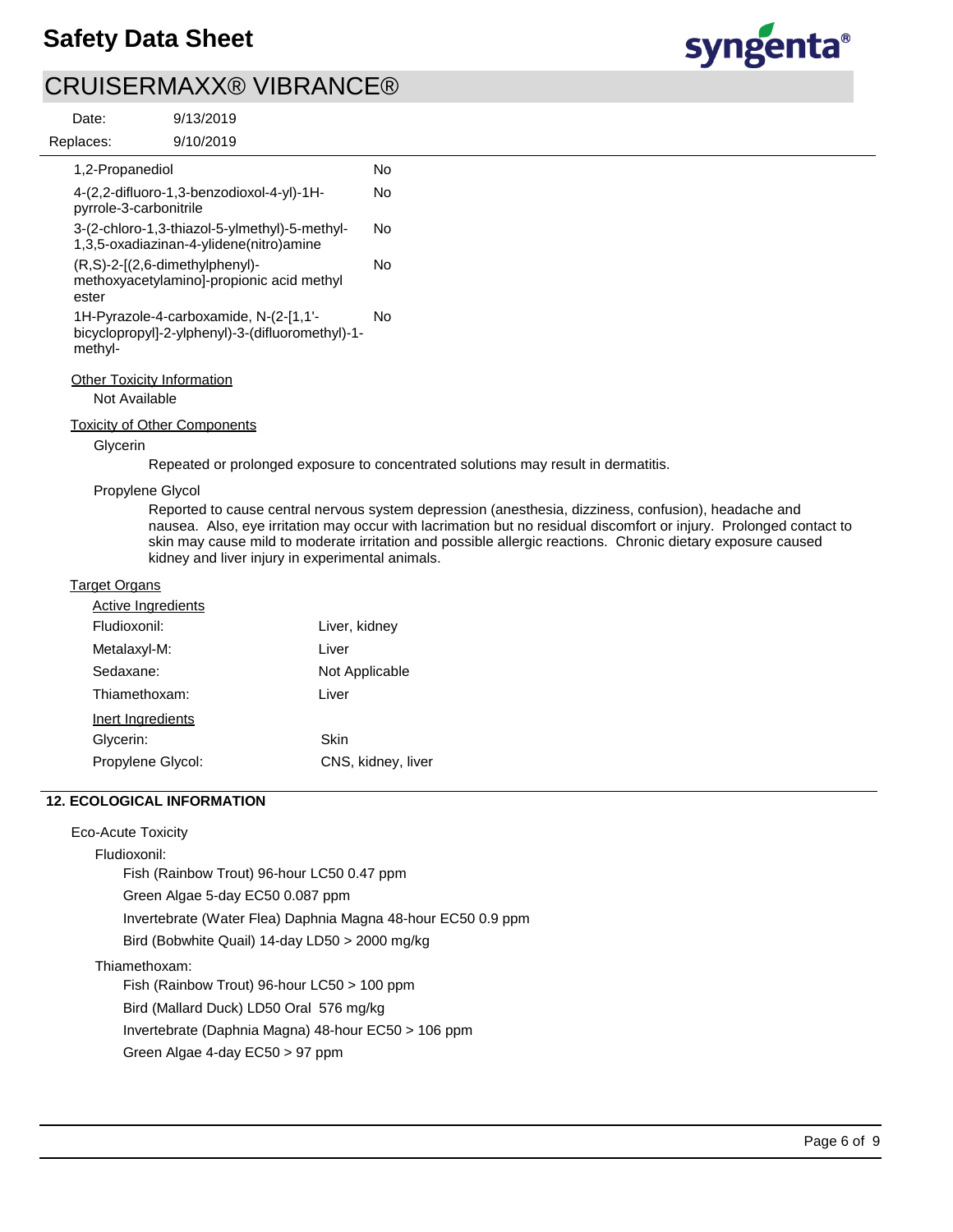

9/10/2019 9/13/2019 **Replaces** Date:

| eplaces.                                        | 9/10/2019                                                                                  |    |
|-------------------------------------------------|--------------------------------------------------------------------------------------------|----|
| 1,2-Propanediol                                 |                                                                                            | N٥ |
| pyrrole-3-carbonitrile                          | 4-(2,2-difluoro-1,3-benzodioxol-4-yl)-1H-                                                  | N٥ |
|                                                 | 3-(2-chloro-1,3-thiazol-5-ylmethyl)-5-methyl-<br>1,3,5-oxadiazinan-4-ylidene(nitro)amine   | N٥ |
| $(R, S)-2-(2, 6$ -dimethylphenyl $)$ -<br>ester | methoxyacetylamino]-propionic acid methyl                                                  | N٥ |
| methyl-                                         | 1H-Pyrazole-4-carboxamide, N-(2-[1,1'-<br>bicyclopropyl]-2-ylphenyl)-3-(difluoromethyl)-1- | N٥ |
| <b>Other Toxicity Information</b>               |                                                                                            |    |

Not Available

Toxicity of Other Components

Glycerin

Repeated or prolonged exposure to concentrated solutions may result in dermatitis.

## Propylene Glycol

Reported to cause central nervous system depression (anesthesia, dizziness, confusion), headache and nausea. Also, eye irritation may occur with lacrimation but no residual discomfort or injury. Prolonged contact to skin may cause mild to moderate irritation and possible allergic reactions. Chronic dietary exposure caused kidney and liver injury in experimental animals.

### Target Organs

| <b>Active Ingredients</b> |                    |
|---------------------------|--------------------|
| Fludioxonil:              | Liver, kidney      |
| Metalaxyl-M:              | Liver              |
| Sedaxane:                 | Not Applicable     |
| Thiamethoxam:             | Liver              |
| Inert Ingredients         |                    |
| Glycerin:                 | Skin               |
| Propylene Glycol:         | CNS, kidney, liver |

## **12. ECOLOGICAL INFORMATION**

### Eco-Acute Toxicity

Fludioxonil:

Fish (Rainbow Trout) 96-hour LC50 0.47 ppm Green Algae 5-day EC50 0.087 ppm Invertebrate (Water Flea) Daphnia Magna 48-hour EC50 0.9 ppm Bird (Bobwhite Quail) 14-day LD50 > 2000 mg/kg

## Thiamethoxam:

Fish (Rainbow Trout) 96-hour LC50 > 100 ppm Bird (Mallard Duck) LD50 Oral 576 mg/kg Invertebrate (Daphnia Magna) 48-hour EC50 > 106 ppm Green Algae 4-day EC50 > 97 ppm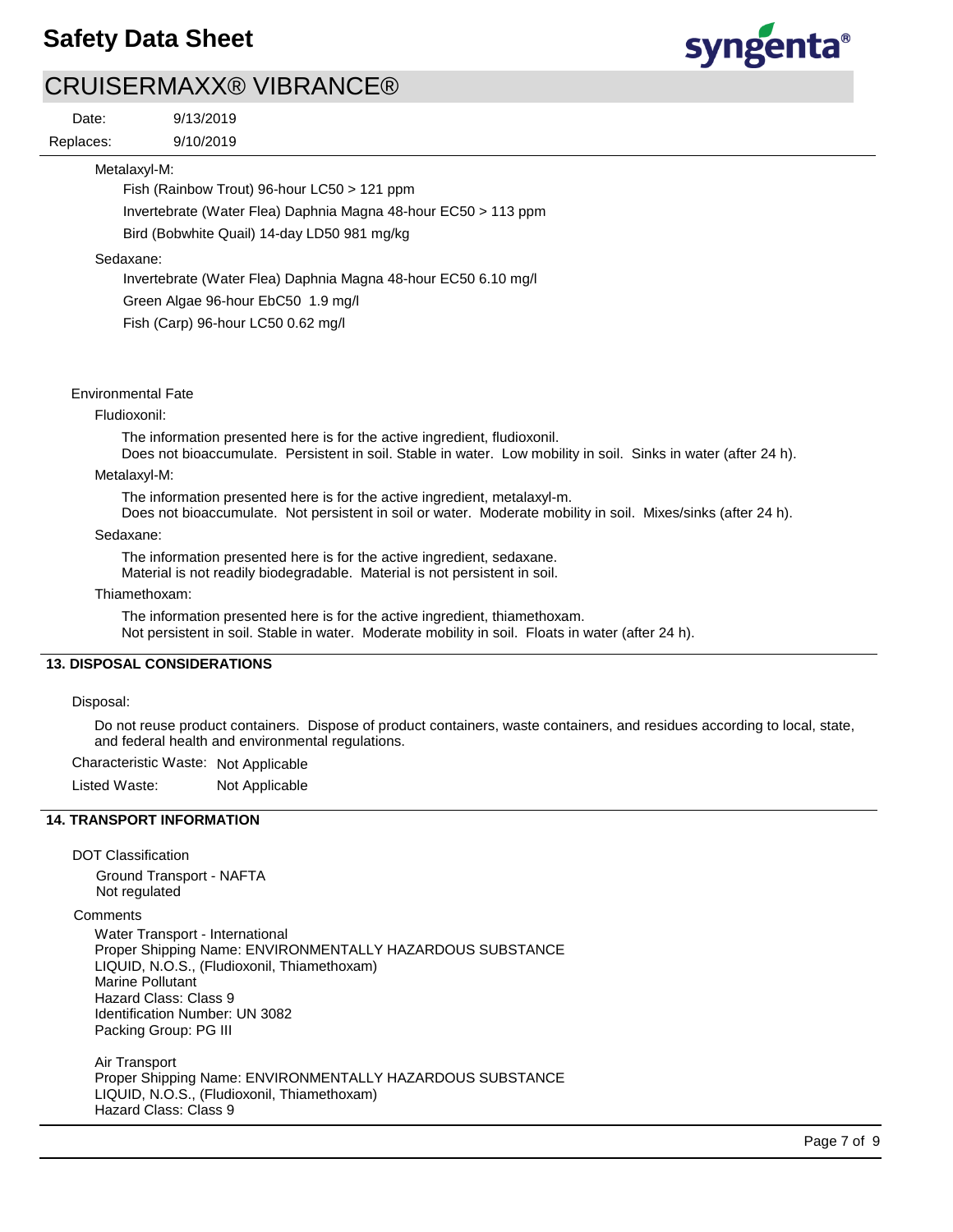## **Safety Data Sheet**



## CRUISERMAXX® VIBRANCE®

Replaces: Date:

9/10/2019 9/13/2019

Metalaxyl-M:

Fish (Rainbow Trout) 96-hour LC50 > 121 ppm

Invertebrate (Water Flea) Daphnia Magna 48-hour EC50 > 113 ppm

Bird (Bobwhite Quail) 14-day LD50 981 mg/kg

Sedaxane:

Invertebrate (Water Flea) Daphnia Magna 48-hour EC50 6.10 mg/l

Green Algae 96-hour EbC50 1.9 mg/l

Fish (Carp) 96-hour LC50 0.62 mg/l

### Environmental Fate

#### Fludioxonil:

The information presented here is for the active ingredient, fludioxonil.

Does not bioaccumulate. Persistent in soil. Stable in water. Low mobility in soil. Sinks in water (after 24 h).

#### Metalaxyl-M:

The information presented here is for the active ingredient, metalaxyl-m.

Does not bioaccumulate. Not persistent in soil or water. Moderate mobility in soil. Mixes/sinks (after 24 h).

#### Sedaxane:

The information presented here is for the active ingredient, sedaxane.

Material is not readily biodegradable. Material is not persistent in soil.

#### Thiamethoxam:

The information presented here is for the active ingredient, thiamethoxam. Not persistent in soil. Stable in water. Moderate mobility in soil. Floats in water (after 24 h).

## **13. DISPOSAL CONSIDERATIONS**

## Disposal:

Do not reuse product containers. Dispose of product containers, waste containers, and residues according to local, state, and federal health and environmental regulations.

Characteristic Waste: Not Applicable

Listed Waste: Not Applicable

## **14. TRANSPORT INFORMATION**

DOT Classification

Ground Transport - NAFTA Not regulated

**Comments** 

Water Transport - International Proper Shipping Name: ENVIRONMENTALLY HAZARDOUS SUBSTANCE LIQUID, N.O.S., (Fludioxonil, Thiamethoxam) Marine Pollutant Hazard Class: Class 9 Identification Number: UN 3082 Packing Group: PG III

Air Transport Proper Shipping Name: ENVIRONMENTALLY HAZARDOUS SUBSTANCE LIQUID, N.O.S., (Fludioxonil, Thiamethoxam) Hazard Class: Class 9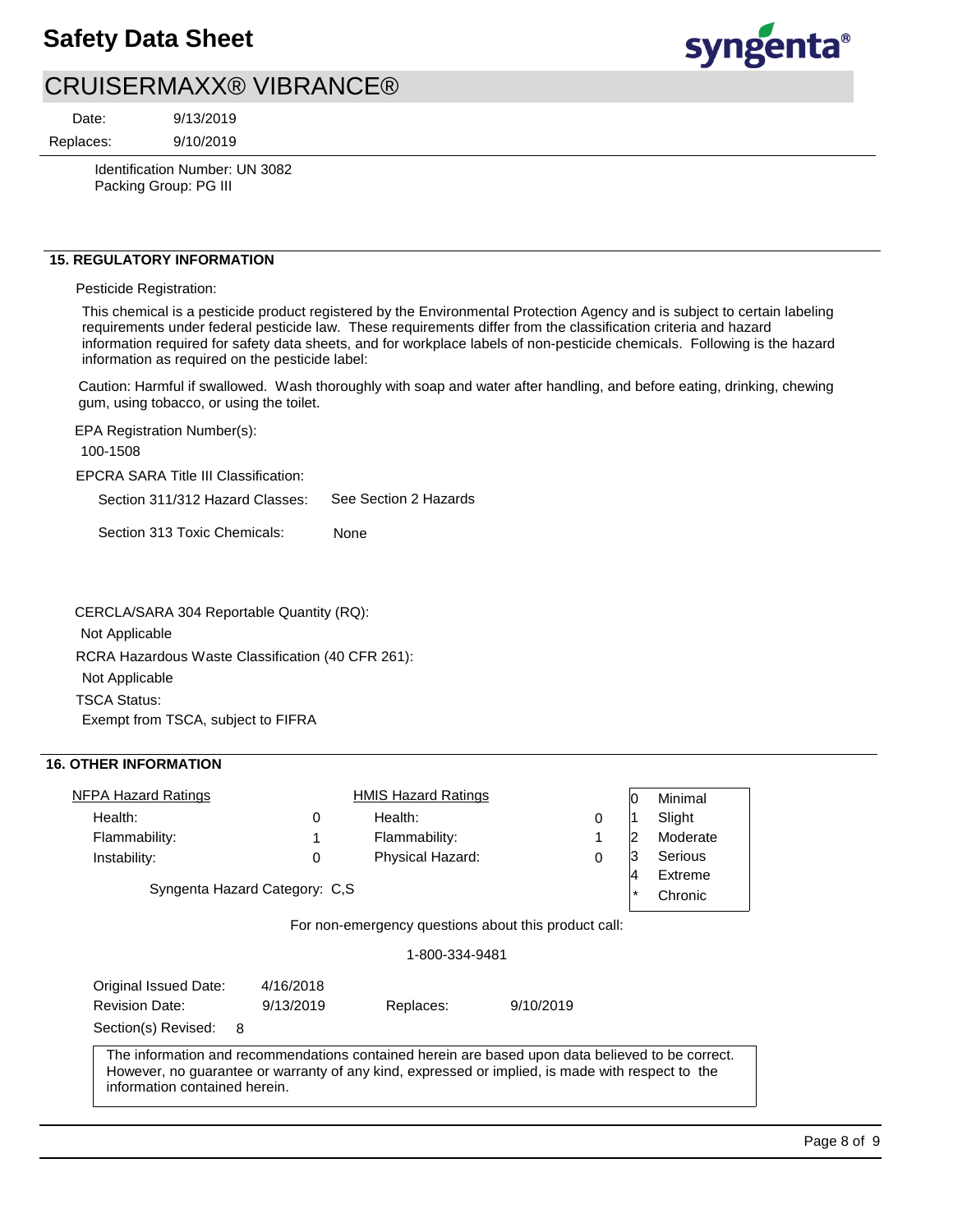

Date:

9/13/2019

Replaces:

9/10/2019

Identification Number: UN 3082 Packing Group: PG III

## **15. REGULATORY INFORMATION**

### Pesticide Registration:

This chemical is a pesticide product registered by the Environmental Protection Agency and is subject to certain labeling requirements under federal pesticide law. These requirements differ from the classification criteria and hazard information required for safety data sheets, and for workplace labels of non-pesticide chemicals. Following is the hazard information as required on the pesticide label:

Caution: Harmful if swallowed. Wash thoroughly with soap and water after handling, and before eating, drinking, chewing gum, using tobacco, or using the toilet.

EPA Registration Number(s): 100-1508

EPCRA SARA Title III Classification:

Section 311/312 Hazard Classes: See Section 2 Hazards

Section 313 Toxic Chemicals: None

CERCLA/SARA 304 Reportable Quantity (RQ):

Not Applicable

RCRA Hazardous Waste Classification (40 CFR 261):

Not Applicable

TSCA Status:

Exempt from TSCA, subject to FIFRA

## **16. OTHER INFORMATION**

| <b>NFPA Hazard Ratings</b>                                                                                                                                                                                                            |                               | <b>HMIS Hazard Ratings</b>                           |           |   | 10       | Minimal  |
|---------------------------------------------------------------------------------------------------------------------------------------------------------------------------------------------------------------------------------------|-------------------------------|------------------------------------------------------|-----------|---|----------|----------|
| Health:                                                                                                                                                                                                                               | 0                             | Health:                                              |           | 0 |          | Slight   |
| Flammability:                                                                                                                                                                                                                         | 1                             | Flammability:                                        |           | 1 | 12       | Moderate |
| Instability:                                                                                                                                                                                                                          | 0                             | Physical Hazard:                                     |           | 0 | 3        | Serious  |
|                                                                                                                                                                                                                                       |                               |                                                      |           |   | 14       | Extreme  |
|                                                                                                                                                                                                                                       | Syngenta Hazard Category: C,S |                                                      |           |   | $^\star$ | Chronic  |
|                                                                                                                                                                                                                                       |                               | For non-emergency questions about this product call: |           |   |          |          |
|                                                                                                                                                                                                                                       |                               | 1-800-334-9481                                       |           |   |          |          |
| Original Issued Date:                                                                                                                                                                                                                 | 4/16/2018                     |                                                      |           |   |          |          |
| <b>Revision Date:</b>                                                                                                                                                                                                                 | 9/13/2019                     | Replaces:                                            | 9/10/2019 |   |          |          |
| 8<br>Section(s) Revised:                                                                                                                                                                                                              |                               |                                                      |           |   |          |          |
| The information and recommendations contained herein are based upon data believed to be correct.<br>However, no guarantee or warranty of any kind, expressed or implied, is made with respect to the<br>information contained herein. |                               |                                                      |           |   |          |          |